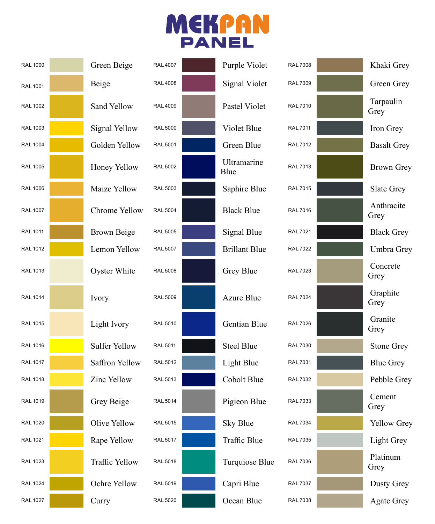## MEKPAN

| <b>RAL 1000</b> | Green Beige           | <b>RAL 4007</b> | Purple Violet        | <b>RAL 7008</b> | Khaki Grey         |
|-----------------|-----------------------|-----------------|----------------------|-----------------|--------------------|
| <b>RAL 1001</b> | Beige                 | <b>RAL4008</b>  | <b>Signal Violet</b> | <b>RAL 7009</b> | Green Grey         |
| <b>RAL 1002</b> | Sand Yellow           | <b>RAL 4009</b> | Pastel Violet        | <b>RAL 7010</b> | Tarpaulin<br>Grey  |
| <b>RAL 1003</b> | <b>Signal Yellow</b>  | <b>RAL 5000</b> | Violet Blue          | <b>RAL 7011</b> | Iron Grey          |
| <b>RAL 1004</b> | Golden Yellow         | <b>RAL 5001</b> | Green Blue           | <b>RAL 7012</b> | <b>Basalt Grey</b> |
| <b>RAL 1005</b> | Honey Yellow          | <b>RAL 5002</b> | Ultramarine<br>Blue  | <b>RAL 7013</b> | <b>Brown Grey</b>  |
| <b>RAL 1006</b> | Maize Yellow          | <b>RAL 5003</b> | Saphire Blue         | <b>RAL 7015</b> | Slate Grey         |
| <b>RAL 1007</b> | Chrome Yellow         | <b>RAL 5004</b> | <b>Black Blue</b>    | <b>RAL 7016</b> | Anthracite<br>Grey |
| <b>RAL 1011</b> | <b>Brown Beige</b>    | <b>RAL 5005</b> | Signal Blue          | <b>RAL 7021</b> | <b>Black Grey</b>  |
| <b>RAL 1012</b> | Lemon Yellow          | <b>RAL 5007</b> | <b>Brillant Blue</b> | <b>RAL 7022</b> | Umbra Grey         |
| <b>RAL 1013</b> | Oyster White          | <b>RAL 5008</b> | Grey Blue            | <b>RAL 7023</b> | Concrete<br>Grey   |
| <b>RAL 1014</b> | Ivory                 | <b>RAL 5009</b> | <b>Azure Blue</b>    | <b>RAL 7024</b> | Graphite<br>Grey   |
| <b>RAL 1015</b> | Light Ivory           | <b>RAL 5010</b> | Gentian Blue         | <b>RAL 7026</b> | Granite<br>Grey    |
| <b>RAL 1016</b> | <b>Sulfer Yellow</b>  | <b>RAL 5011</b> | <b>Steel Blue</b>    | <b>RAL 7030</b> | <b>Stone Grey</b>  |
| <b>RAL 1017</b> | Saffron Yellow        | RAL 5012        | Light Blue           | <b>RAL 7031</b> | <b>Blue Grey</b>   |
| <b>RAL 1018</b> | Zinc Yellow           | RAL 5013        | Cobolt Blue          | <b>RAL 7032</b> | Pebble Grey        |
| <b>RAL 1019</b> | Grey Beige            | <b>RAL 5014</b> | Pigieon Blue         | <b>RAL 7033</b> | Cement<br>Grey     |
| <b>RAL 1020</b> | Olive Yellow          | <b>RAL 5015</b> | Sky Blue             | <b>RAL 7034</b> | Yellow Grey        |
| <b>RAL 1021</b> | Rape Yellow           | <b>RAL 5017</b> | Traffic Blue         | <b>RAL 7035</b> | Light Grey         |
| <b>RAL 1023</b> | <b>Traffic Yellow</b> | <b>RAL 5018</b> | Turquiose Blue       | <b>RAL 7036</b> | Platinum<br>Grey   |
| <b>RAL 1024</b> | Ochre Yellow          | RAL 5019        | Capri Blue           | <b>RAL 7037</b> | Dusty Grey         |
| <b>RAL 1027</b> | Curry                 | <b>RAL 5020</b> | Ocean Blue           | <b>RAL 7038</b> | <b>Agate Grey</b>  |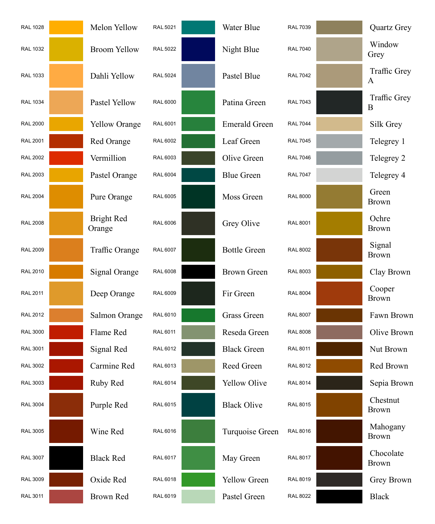| <b>RAL 1028</b> | Melon Yellow         | <b>RAL 5021</b> | Water Blue           | <b>RAL 7039</b> | <b>Quartz Grey</b>                  |
|-----------------|----------------------|-----------------|----------------------|-----------------|-------------------------------------|
| <b>RAL 1032</b> | <b>Broom Yellow</b>  | <b>RAL 5022</b> | Night Blue           | <b>RAL 7040</b> | Window<br>Grey                      |
| <b>RAL 1033</b> | Dahli Yellow         | <b>RAL 5024</b> | Pastel Blue          | <b>RAL 7042</b> | <b>Traffic Grey</b><br>$\mathbf{A}$ |
| <b>RAL 1034</b> | Pastel Yellow        | <b>RAL 6000</b> | Patina Green         | <b>RAL 7043</b> | <b>Traffic Grey</b><br>B            |
| <b>RAL 2000</b> | <b>Yellow Orange</b> | <b>RAL 6001</b> | <b>Emerald Green</b> | <b>RAL 7044</b> | Silk Grey                           |
| <b>RAL 2001</b> | Red Orange           | RAL 6002        | Leaf Green           | <b>RAL 7045</b> | Telegrey 1                          |
| <b>RAL 2002</b> | Vermillion           | RAL 6003        | Olive Green          | <b>RAL 7046</b> | Telegrey 2                          |
| <b>RAL 2003</b> | Pastel Orange        | <b>RAL 6004</b> | <b>Blue Green</b>    | <b>RAL 7047</b> | Telegrey 4                          |
| <b>RAL 2004</b> | Pure Orange          | <b>RAL 6005</b> | Moss Green           | <b>RAL 8000</b> | Green<br><b>Brown</b>               |
| <b>RAL 2008</b> | Bright Red<br>Orange | <b>RAL 6006</b> | Grey Olive           | <b>RAL 8001</b> | Ochre<br><b>Brown</b>               |
| <b>RAL 2009</b> | Traffic Orange       | <b>RAL 6007</b> | <b>Bottle Green</b>  | <b>RAL 8002</b> | Signal<br><b>Brown</b>              |
| <b>RAL 2010</b> | Signal Orange        | RAL 6008        | <b>Brown Green</b>   | <b>RAL 8003</b> | Clay Brown                          |
| <b>RAL 2011</b> | Deep Orange          | RAL 6009        | Fir Green            | <b>RAL 8004</b> | Cooper<br><b>Brown</b>              |
| <b>RAL 2012</b> | Salmon Orange        | RAL 6010        | Grass Green          | <b>RAL 8007</b> | Fawn Brown                          |
| <b>RAL 3000</b> | Flame Red            | RAL 6011        | Reseda Green         | <b>RAL 8008</b> | Olive Brown                         |
| <b>RAL 3001</b> | Signal Red           | RAL 6012        | <b>Black Green</b>   | <b>RAL 8011</b> | Nut Brown                           |
| <b>RAL 3002</b> | Carmine Red          | RAL 6013        | Reed Green           | <b>RAL 8012</b> | Red Brown                           |
| <b>RAL 3003</b> | Ruby Red             | RAL 6014        | <b>Yellow Olive</b>  | <b>RAL 8014</b> | Sepia Brown                         |
| <b>RAL 3004</b> | Purple Red           | RAL 6015        | <b>Black Olive</b>   | <b>RAL 8015</b> | Chestnut<br><b>Brown</b>            |
| <b>RAL 3005</b> | Wine Red             | RAL 6016        | Turquoise Green      | <b>RAL 8016</b> | Mahogany<br><b>Brown</b>            |
| <b>RAL 3007</b> | <b>Black Red</b>     | RAL 6017        | May Green            | <b>RAL 8017</b> | Chocolate<br><b>Brown</b>           |
| <b>RAL 3009</b> | Oxide Red            | RAL 6018        | Yellow Green         | <b>RAL 8019</b> | Grey Brown                          |
| <b>RAL 3011</b> | Brown Red            | RAL 6019        | Pastel Green         | <b>RAL 8022</b> | <b>Black</b>                        |